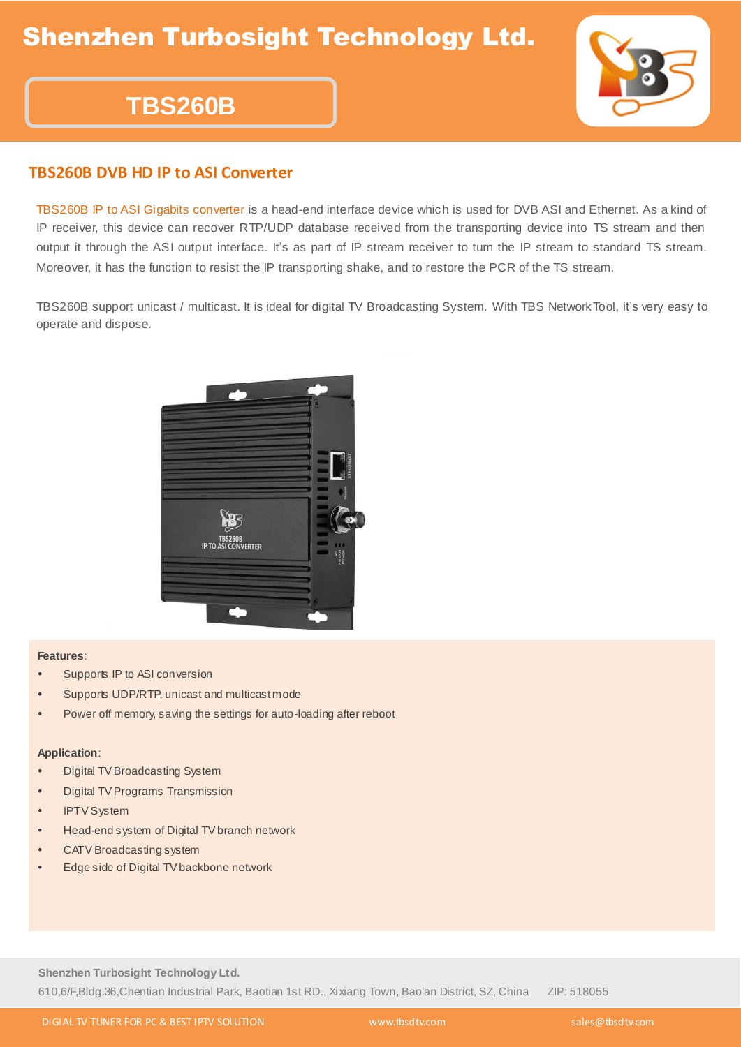# **TBS260B**



### **TBS260B DVB HD IP to ASI Converter**

TBS260B IP to ASI Gigabits converter is a head-end interface device which is used for DVB ASI and Ethernet. As a kind of IP receiver, this device can recover RTP/UDP database received from the transporting device into TS stream and then output it through the ASI output interface. It's as part of IP stream receiver to turn the IP stream to standard TS stream. Moreover, it has the function to resist the IP transporting shake, and to restore the PCR of the TS stream.

TBS260B support unicast / multicast. It is ideal for digital TV Broadcasting System. With TBS NetworkTool, it's very easy to operate and dispose.



#### **Features**:

- Supports IP to ASI conversion
- Supports UDP/RTP, unicast and multicast mode
- Power off memory, saving the settings for auto-loading after reboot

#### **Application**:

- Digital TV Broadcasting System
- Digital TV Programs Transmission
- IPTV System
- Head-end system of Digital TV branch network
- CATV Broadcasting system
- Edge side of Digital TV backbone network

**Shenzhen Turbosight Technology Ltd.** 610,6/F,Bldg.36,Chentian Industrial Park, Baotian 1st RD., Xixiang Town, Bao'an District, SZ, China ZIP: 518055